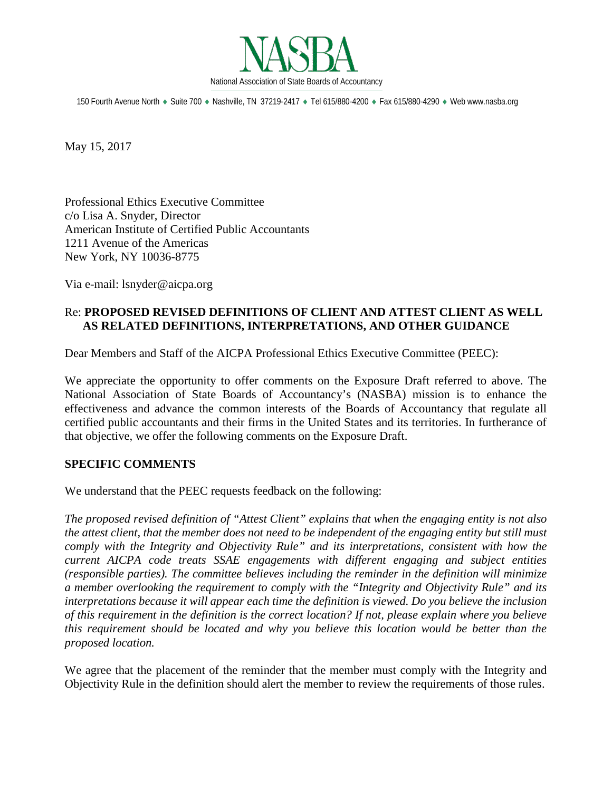

150 Fourth Avenue North ♦ Suite 700 ♦ Nashville, TN 37219-2417 ♦ Tel 615/880-4200 ♦ Fax 615/880-4290 ♦ Web www.nasba.org

May 15, 2017

Professional Ethics Executive Committee c/o Lisa A. Snyder, Director American Institute of Certified Public Accountants 1211 Avenue of the Americas New York, NY 10036-8775

Via e-mail: lsnyder@aicpa.org

# Re: **PROPOSED REVISED DEFINITIONS OF CLIENT AND ATTEST CLIENT AS WELL AS RELATED DEFINITIONS, INTERPRETATIONS, AND OTHER GUIDANCE**

Dear Members and Staff of the AICPA Professional Ethics Executive Committee (PEEC):

We appreciate the opportunity to offer comments on the Exposure Draft referred to above. The National Association of State Boards of Accountancy's (NASBA) mission is to enhance the effectiveness and advance the common interests of the Boards of Accountancy that regulate all certified public accountants and their firms in the United States and its territories. In furtherance of that objective, we offer the following comments on the Exposure Draft.

## **SPECIFIC COMMENTS**

We understand that the PEEC requests feedback on the following:

*The proposed revised definition of "Attest Client" explains that when the engaging entity is not also the attest client, that the member does not need to be independent of the engaging entity but still must comply with the Integrity and Objectivity Rule" and its interpretations, consistent with how the current AICPA code treats SSAE engagements with different engaging and subject entities (responsible parties). The committee believes including the reminder in the definition will minimize a member overlooking the requirement to comply with the "Integrity and Objectivity Rule" and its interpretations because it will appear each time the definition is viewed. Do you believe the inclusion of this requirement in the definition is the correct location? If not, please explain where you believe this requirement should be located and why you believe this location would be better than the proposed location.* 

We agree that the placement of the reminder that the member must comply with the Integrity and Objectivity Rule in the definition should alert the member to review the requirements of those rules.